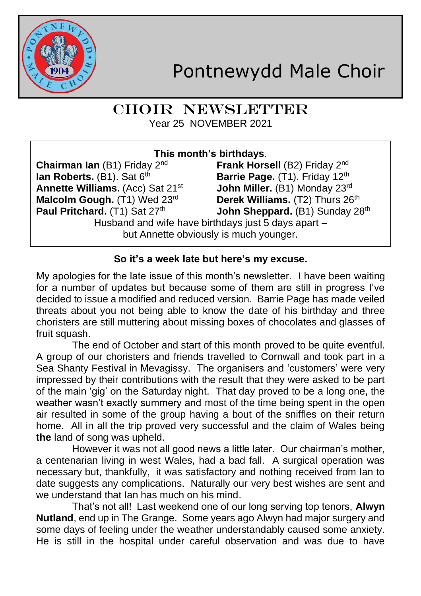

# CHOIR NEWSLETTER Year 25 NOVEMBER 2021

| This month's birthdays.                             |                                           |  |
|-----------------------------------------------------|-------------------------------------------|--|
| <b>Chairman Ian</b> (B1) Friday $2^{nd}$            | Frank Horsell (B2) Friday 2 <sup>nd</sup> |  |
| lan Roberts. (B1). Sat 6th                          | Barrie Page. (T1). Friday 12th            |  |
| Annette Williams. (Acc) Sat 21 <sup>st</sup>        | John Miller. (B1) Monday 23rd             |  |
| Malcolm Gough. (T1) Wed 23rd                        | Derek Williams. (T2) Thurs 26th           |  |
| Paul Pritchard. (T1) Sat 27th                       | John Sheppard. (B1) Sunday 28th           |  |
| Husband and wife have birthdays just 5 days apart - |                                           |  |
| but Annette obviously is much younger.              |                                           |  |
|                                                     |                                           |  |

## **So it's a week late but here's my excuse.**

My apologies for the late issue of this month's newsletter. I have been waiting for a number of updates but because some of them are still in progress I've decided to issue a modified and reduced version. Barrie Page has made veiled threats about you not being able to know the date of his birthday and three choristers are still muttering about missing boxes of chocolates and glasses of fruit squash.

The end of October and start of this month proved to be quite eventful. A group of our choristers and friends travelled to Cornwall and took part in a Sea Shanty Festival in Mevagissy. The organisers and 'customers' were very impressed by their contributions with the result that they were asked to be part of the main 'gig' on the Saturday night. That day proved to be a long one, the weather wasn't exactly summery and most of the time being spent in the open air resulted in some of the group having a bout of the sniffles on their return home. All in all the trip proved very successful and the claim of Wales being **the** land of song was upheld.

However it was not all good news a little later. Our chairman's mother, a centenarian living in west Wales, had a bad fall. A surgical operation was necessary but, thankfully, it was satisfactory and nothing received from Ian to date suggests any complications. Naturally our very best wishes are sent and we understand that Ian has much on his mind.

That's not all! Last weekend one of our long serving top tenors, **Alwyn Nutland**, end up in The Grange. Some years ago Alwyn had major surgery and some days of feeling under the weather understandably caused some anxiety. He is still in the hospital under careful observation and was due to have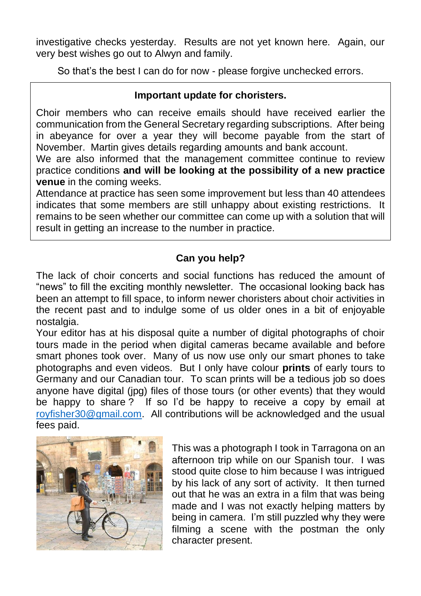investigative checks yesterday. Results are not yet known here. Again, our very best wishes go out to Alwyn and family.

So that's the best I can do for now - please forgive unchecked errors.

### **Important update for choristers.**

Choir members who can receive emails should have received earlier the communication from the General Secretary regarding subscriptions. After being in abeyance for over a year they will become payable from the start of November. Martin gives details regarding amounts and bank account.

We are also informed that the management committee continue to review practice conditions **and will be looking at the possibility of a new practice venue** in the coming weeks.

Attendance at practice has seen some improvement but less than 40 attendees indicates that some members are still unhappy about existing restrictions. It remains to be seen whether our committee can come up with a solution that will result in getting an increase to the number in practice.

## **Can you help?**

The lack of choir concerts and social functions has reduced the amount of "news" to fill the exciting monthly newsletter. The occasional looking back has been an attempt to fill space, to inform newer choristers about choir activities in the recent past and to indulge some of us older ones in a bit of enjoyable nostalgia.

Your editor has at his disposal quite a number of digital photographs of choir tours made in the period when digital cameras became available and before smart phones took over. Many of us now use only our smart phones to take photographs and even videos. But I only have colour **prints** of early tours to Germany and our Canadian tour. To scan prints will be a tedious job so does anyone have digital (jpg) files of those tours (or other events) that they would be happy to share? If so I'd be happy to receive a copy by email at [royfisher30@gmail.com.](mailto:royfisher30@gmail.com) All contributions will be acknowledged and the usual fees paid.



This was a photograph I took in Tarragona on an afternoon trip while on our Spanish tour. I was stood quite close to him because I was intrigued by his lack of any sort of activity. It then turned out that he was an extra in a film that was being made and I was not exactly helping matters by being in camera. I'm still puzzled why they were filming a scene with the postman the only character present.